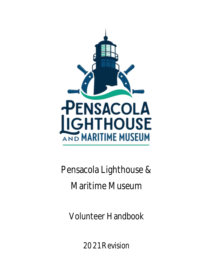

Pensacola Lighthouse & Maritime Museum

Volunteer Handbook

2021 Revision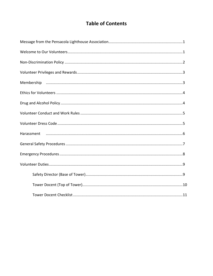## **Table of Contents**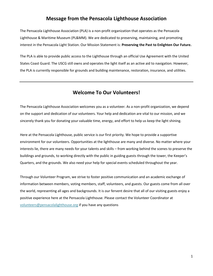#### **Message from the Pensacola Lighthouse Association**

The Pensacola Lighthouse Association (PLA) is a non-profit organization that operates as the Pensacola Lighthouse & Maritime Museum (PL&MM). We are dedicated to preserving, maintaining, and promoting interest in the Pensacola Light Station. Our Mission Statement is: **Preserving the Past to Enlighten Our Future.**

The PLA is able to provide public access to the Lighthouse through an official Use Agreement with the United States Coast Guard. The USCG still owns and operates the light itself as an active aid to navigation. However, the PLA is currently responsible for grounds and building maintenance, restoration, insurance, and utilities.

#### **Welcome To Our Volunteers!**

The Pensacola Lighthouse Association welcomes you as a volunteer. As a non-profit organization, we depend on the support and dedication of our volunteers. Your help and dedication are vital to our mission, and we sincerely thank you for donating your valuable time, energy, and effort to help us keep the light shining.

Here at the Pensacola Lighthouse, public service is our first priority. We hope to provide a supportive environment for our volunteers. Opportunities at the lighthouse are many and diverse. No matter where your interests lie, there are many needs for your talents and skills – from working behind the scenes to preserve the buildings and grounds, to working directly with the public in guiding guests through the tower, the Keeper's Quarters, and the grounds. We also need your help for special events scheduled throughout the year.

Through our Volunteer Program, we strive to foster positive communication and an academic exchange of information between members, voting members, staff, volunteers, and guests. Our guests come from all over the world, representing all ages and backgrounds. It is our fervent desire that all of our visiting guests enjoy a positive experience here at the Pensacola Lighthouse. Please contact the Volunteer Coordinator at [volunteers@pensacolalighthouse.org](mailto:volunteers@pensacolalighthouse.org) if you have any questions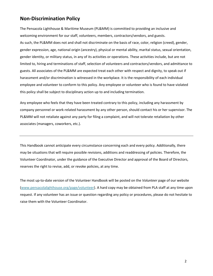### **Non-Discrimination Policy**

The Pensacola Lighthouse & Maritime Museum (PL&MM) is committed to providing an inclusive and welcoming environment for our staff, volunteers, members, contractors/vendors, and guests. As such, the PL&MM does not and shall not discriminate on the basis of race, color, religion (creed), gender, gender expression, age, national origin (ancestry), physical or mental ability, marital status, sexual orientation, gender identity, or military status, in any of its activities or operations. These activities include, but are not limited to, hiring and terminations of staff, selection of volunteers and contractors/vendors, and admittance to guests. All associates of the PL&MM are expected treat each other with respect and dignity, to speak out if harassment and/or discrimination is witnessed in the workplace. It is the responsibility of each individual employee and volunteer to conform to this policy. Any employee or volunteer who is found to have violated this policy shall be subject to disciplinary action up to and including termination.

Any employee who feels that they have been treated contrary to this policy, including any harassment by company personnel or work-related harassment by any other person, should contact his or her supervisor. The PL&MM will not retaliate against any party for filing a complaint, and will not tolerate retaliation by other associates (managers, coworkers, etc.).

This Handbook cannot anticipate every circumstance concerning each and every policy. Additionally, there may be situations that will require possible revisions, additions and readdressing of policies. Therefore, the Volunteer Coordinator, under the guidance of the Executive Director and approval of the Board of Directors, reserves the right to revise, add, or revoke policies, at any time.

The most up-to-date version of the Volunteer Handbook will be posted on the *Volunteer* page of our website (www.pensacolalighthouse.org/page/volunteer). A hard copy may be obtained from PLA staff at any time upon request. If any volunteer has an issue or question regarding any policy or procedures, please do not hesitate to raise them with the Volunteer Coordinator.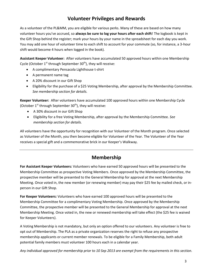## **Volunteer Privileges and Rewards**

As a volunteer of the PL&MM, you are eligible for various perks. Many of these are based on how many volunteer hours you've accrued, so **always be sure to log your hours after each shift**! The logbook is kept in the Gift Shop behind the register; mark your hours by your name in the spreadsheet for each day you work. You may add one hour of volunteer time to each shift to account for your commute (so, for instance, a 3-hour shift would become 4 hours when logged in the book).

**Assistant Keeper Volunteer:** After volunteers have accumulated 50 approved hours within one Membership Cycle (October  $1<sup>st</sup>$  through September 30<sup>th</sup>), they will receive:

- A complimentary Pensacola Lighthouse t-shirt
- A permanent name tag
- A 20% discount in our Gift Shop
- Eligibility for the purchase of a \$25 Voting Membership, after approval by the Membership Committee. *See membership section for details.*

**Keeper Volunteer:** After volunteers have accumulated 100 approved hours within one Membership Cycle (October  $1^{st}$  through September 30<sup>th</sup>), they will receive:

- A 30% discount in our Gift Shop
- Eligibility for a free Voting Membership, after approval by the Membership Committee. *See membership section for details.*

All volunteers have the opportunity for recognition with our Volunteer of the Month program. Once selected as Volunteer of the Month, you then become eligible for Volunteer of the Year. The Volunteer of the Year receives a special gift and a commemorative brick in our Keeper's Walkway.

### **Membership**

**For Assistant Keeper Volunteers:** Volunteers who have earned 50 approved hours will be presented to the Membership Committee as prospective Voting Members. Once approved by the Membership Committee, the prospective member will be presented to the General Membership for approval at the next Membership Meeting. Once voted in, the new member (or renewing member) may pay their \$25 fee by mailed check, or inperson in our Gift Shop.

**For Keeper Volunteers:** Volunteers who have earned 100 approved hours will be presented to the Membership Committee for a complimentary Voting Membership. Once approved by the Membership Committee, the prospective member will be presented to the General Membership for approval at the next Membership Meeting. Once voted in, the new or renewed membership will take effect (the \$25 fee is waived for Keeper Volunteers).

A Voting Membership is not mandatory, but only an option offered to our volunteers. Any volunteer is free to opt out of Membership. The PLA as a private organization reserves the right to refuse any prospective membership applicants or current member renewals. To be eligible for a Family Membership, both adult potential family members must volunteer 100 hours each in a calendar year.

*Any individual approved for membership prior to 10 Sep 2013 are exempt from the requirements in this section.*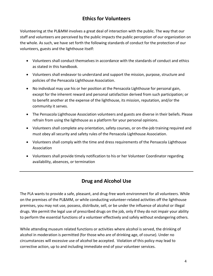## **Ethics for Volunteers**

Volunteering at the PL&MM involves a great deal of interaction with the public. The way that our staff and volunteers are perceived by the public impacts the public perception of our organization on the whole. As such, we have set forth the following standards of conduct for the protection of our volunteers, guests and the lighthouse itself:

- Volunteers shall conduct themselves in accordance with the standards of conduct and ethics as stated in this handbook.
- Volunteers shall endeavor to understand and support the mission, purpose, structure and policies of the Pensacola Lighthouse Association.
- No individual may use his or her position at the Pensacola Lighthouse for personal gain, except for the inherent reward and personal satisfaction derived from such participation; or to benefit another at the expense of the lighthouse, its mission, reputation, and/or the community it serves.
- The Pensacola Lighthouse Association volunteers and guests are diverse in their beliefs. Please refrain from using the lighthouse as a platform for your personal opinions.
- Volunteers shall complete any orientation, safety courses, or on-the-job training required and must obey all security and safety rules of the Pensacola Lighthouse Association.
- Volunteers shall comply with the time and dress requirements of the Pensacola Lighthouse Association
- Volunteers shall provide timely notification to his or her Volunteer Coordinator regarding availability, absences, or termination

## **Drug and Alcohol Use**

The PLA wants to provide a safe, pleasant, and drug-free work environment for all volunteers. While on the premises of the PL&MM, or while conducting volunteer-related activities off the lighthouse premises, you may not use, possess, distribute, sell, or be under the influence of alcohol or illegal drugs. We permit the legal use of prescribed drugs on the job, only if they do not impair your ability to perform the essential functions of a volunteer effectively and safely without endangering others.

While attending museum related functions or activities where alcohol is served, the drinking of alcohol in moderation is permitted (for those who are of drinking age, of course). Under no circumstances will excessive use of alcohol be accepted. Violation of this policy may lead to corrective action, up to and including immediate end of your volunteer services.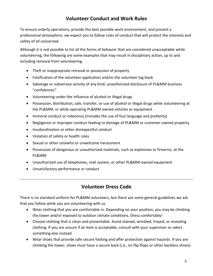## **Volunteer Conduct and Work Rules**

To ensure orderly operations, provide the best possible work environment, and present a professional atmosphere, we expect you to follow rules of conduct that will protect the interests and safety of all concerned.

Although it is not possible to list all the forms of behavior that are considered unacceptable while volunteering, the following are some examples that may result in disciplinary action, up to and including removal from volunteering.

- Theft or inappropriate removal or possession of property
- Falsification of the volunteer application and/or the volunteer log book
- Sabotage or subversive activity of any kind; unauthorized disclosure of PL&MM business "confidences"
- Volunteering under the influence of alcohol or illegal drugs
- Possession, distribution, sale, transfer, or use of alcohol or illegal drugs while volunteering at the PL&MM, or while operating PL&MM owned vehicles or equipment
- Immoral conduct or indecency (includes the use of foul language and profanity)
- Negligence or improper conduct leading to damage of PL&MM or customer-owned property
- Insubordination or other disrespectful conduct
- Violation of safety or health rules
- Sexual or other unlawful or unwelcome harassment
- Possession of dangerous or unauthorized materials, such as explosives or firearms, at the PL&MM
- Unauthorized use of telephones, mail system, or other PL&MM-owned equipment
- Unsatisfactory performance or conduct

### **Volunteer Dress Code**

There is no standard uniform for PL&MM volunteers, but there are some general guidelines we ask that you follow while you are volunteering with us.

- Wear clothing that you are comfortable in. Depending on your position, you may be climbing the tower and/or exposed to outdoor climate conditions. Dress comfortably!
- Choose clothing that is clean and presentable. Avoid stained, wrinkled, frayed, or revealing clothing. If you are unsure if an item is acceptable, consult with your supervisor or select something else instead.
- Wear shoes that provide safe secure footing and offer protection against hazards. If you are climbing the tower, shoes must have a secure back (i.e., no flip-flops or other backless shoes).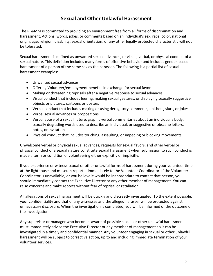### **Sexual and Other Unlawful Harassment**

The PL&MM is committed to providing an environment free from all forms of discrimination and harassment. Actions, words, jokes, or comments based on an individual's sex, race, color, national origin, age, religion, disability, sexual orientation, or any other legally protected characteristic will not be tolerated.

Sexual harassment is defined as unwanted sexual advances, or visual, verbal, or physical conduct of a sexual nature. This definition includes many forms of offensive behavior and includes gender-based harassment of a person of the same sex as the harasser. The following is a partial list of sexual harassment examples:

- Unwanted sexual advances
- Offering Volunteer/employment benefits in exchange for sexual favors
- Making or threatening reprisals after a negative response to sexual advances
- Visual conduct that includes leering, making sexual gestures, or displaying sexually suggestive objects or pictures, cartoons or posters
- Verbal conduct that includes making or using derogatory comments, epithets, slurs, or jokes
- Verbal sexual advances or propositions
- Verbal abuse of a sexual nature, graphic verbal commentaries about an individual's body, sexually degrading words used to describe an individual, or suggestive or obscene letters, notes, or invitations
- Physical conduct that includes touching, assaulting, or impeding or blocking movements

Unwelcome verbal or physical sexual advances, requests for sexual favors, and other verbal or physical conduct of a sexual nature constitute sexual harassment when submission to such conduct is made a term or condition of volunteering either explicitly or implicitly.

If you experience or witness sexual or other unlawful forms of harassment during your volunteer time at the lighthouse and museum report it immediately to the Volunteer Coordinator. If the Volunteer Coordinator is unavailable, or you believe it would be inappropriate to contact that person, you should immediately contact the Executive Director or any other member of management. You can raise concerns and make reports without fear of reprisal or retaliation.

All allegations of sexual harassment will be quickly and discreetly investigated. To the extent possible, your confidentiality and that of any witnesses and the alleged harasser will be protected against unnecessary disclosure. When the investigation is completed, you will be informed of the outcome of the investigation.

Any supervisor or manager who becomes aware of possible sexual or other unlawful harassment must immediately advise the Executive Director or any member of management so it can be investigated in a timely and confidential manner. Any volunteer engaging in sexual or other unlawful harassment will be subject to corrective action, up to and including immediate termination of your volunteer services.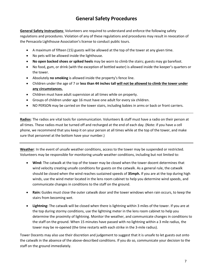## **General Safety Procedures**

**General Safety Instructions**: Volunteers are required to understand and enforce the following safety regulations and procedures. Violation of any of these regulations and procedures may result in revocation of the Pensacola Lighthouse Association's license to conduct public tours.

- A maximum of fifteen (15) guests will be allowed at the top of the tower at any given time.
- No pets will be allowed inside the lighthouse.
- **No open backed shoes or spiked heels** may be worn to climb the stairs; guests may go barefoot.
- No food, gum, or drink (with the exception of bottled water) is allowed inside the keeper's quarters or the tower.
- Absolutely **no smoking** is allowed inside the property's fence line.
- Children under the age of 7 or **less than 44 inches tall will not be allowed to climb the tower under any circumstances.**
- Children must have adult supervision at all times while on property.
- Groups of children under age 16 must have one adult for every six children.
- NO PERSON may be carried on the tower stairs, including babies in arms or back or front carriers.

**Radios**: The radios are vital tools for communication. Volunteers & staff must have a radio on their person at all times. These radios must be turned off and recharged at the end of each day. (Note: if you have a cell phone, we recommend that you keep it on your person at all times while at the top of the tower, and make sure that personnel at the bottom have your number.)

**Weather**: In the event of unsafe weather conditions, access to the tower may be suspended or restricted. Volunteers may be responsible for monitoring unsafe weather conditions, including but not limited to:

- **Wind:** The catwalk at the top of the tower may be closed when the tower docent determines that wind velocity creating unsafe conditions for guests on the catwalk. As a general rule, the catwalk should be closed when the wind reaches sustained speeds of **35mph.** If you are at the top during high winds, use the wind meter located in the lens room cabinet to help you determine wind speeds, and communicate changes in conditions to the staff on the ground.
- **Rain:** Guides must close the outer catwalk door and the tower windows when rain occurs, to keep the stairs from becoming wet.
- **Lightning:** The catwalk will be closed when there is lightning within 3 miles of the tower. If you are at the top during stormy conditions, use the lightning meter in the lens room cabinet to help you determine the proximity of lightning. Monitor the weather, and communicate changes in conditions to the staff on the ground. When 15 minutes have passed with no lightning within a 3 mile radius, the tower may be re-opened (the time restarts with each strike in the 3-mile radius).

Tower Docents may also use their discretion and judgement to suggest that it is unsafe to let guests out onto the catwalk in the absence of the above-described conditions. If you do so, communicate your decision to the staff on the ground immediately.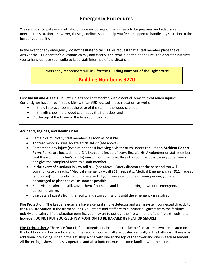## **Emergency Procedures**

We cannot anticipate every situation, so we encourage our volunteers to be prepared and adaptable to unexpected situations. However, these guidelines should help you feel equipped to handle any situation to the best of your ability.

In the event of any emergency, **do not hesitate** to call 911, or request that a staff member place the call. Answer the 911 operator's questions calmly and clearly, and remain on the phone until the operator instructs you to hang up. Use your radio to keep staff informed of the situation.

Emergency responders will ask for the **Building Number** of the Lighthouse.

### **Building Number is 3270**

**First Aid Kit and AED's**: Our First Aid Kits are kept stocked with essential items to treat minor injuries. Currently we have three first aid kits (with an AED located in each location, as well):

- In the oil storage room at the base of the stair in the wood cabinet
- In the gift shop in the wood cabinet by the front door and
- At the top of the tower in the lens room cabinet

#### **Accidents, Injuries, and Health Crises**:

- Remain calm! Notify staff members as soon as possible.
- To treat minor injuries, locate a first aid kit (see above).
- Remember, any injury (even minor ones) involving a visitor or volunteer requires an **Accident Report Form**. Forms are located in the Gift Shop, and inside of every first aid kit. A volunteer or staff member (**not** the victim or victim's family) must fill out the form. Be as thorough as possible in your answers, and give the completed form to a staff member.
- **In the event of a serious injury, call 911** (see above.) Safety directors at the base and top will communicate via radio, "Medical emergency – call 911… repeat … Medical Emergency, call 911…repeat [and so on]" until confirmation is received. If you have a cell phone on your person, you are encouraged to place the call as soon as possible.
- Keep victim calm and still. Cover them if possible, and keep them lying down until emergency personnel arrive.
- Evacuate all guests from the facility and stop admissions until the emergency is resolved.

**Fire Protection**: The keeper's quarters have a central smoke detector and alarm system connected directly to the NAS Fire Station. If the alarm sounds, volunteers and staff are to evacuate all guests from the facilities quickly and calmly. If the situation permits, you may try to put out the fire with one of the fire extinguishers; however, **DO NOT PUT YOURSELF IN A POSITION TO BE HARMED BY HEAT OR SMOKE!**

**Fire Extinguishers**: There are four (4) fire extinguishers located in the keeper's quarters--two are located on the first floor and two are located on the second floor and all are located centrally in the hallways. There is an additional fire extinguisher in the gift shop along with one at the top of the tower and one in each basement. All fire extinguishers are easily operated and all volunteers must become familiar with their use.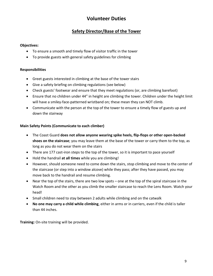## **Volunteer Duties**

### **Safety Director/Base of the Tower**

#### **Objectives:**

- To ensure a smooth and timely flow of visitor traffic in the tower
- To provide guests with general safety guidelines for climbing

#### **Responsibilities**

- Greet guests interested in climbing at the base of the tower stairs
- Give a safety briefing on climbing regulations (see below)
- Check guests' footwear and ensure that they meet regulations (or, are climbing barefoot)
- Ensure that no children under 44" in height are climbing the tower. Children under the height limit will have a smiley-face-patterned wristband on; these mean they can NOT climb.
- Communicate with the person at the top of the tower to ensure a timely flow of guests up and down the stairway

#### **Main Safety Points (Communicate to each climber)**

- The Coast Guard **does not allow anyone wearing spike heels, flip-flops or other open-backed shoes on the staircase**; you may leave them at the base of the tower or carry them to the top, as long as you do not wear them on the stairs
- There are 177 cast-iron steps to the top of the tower, so it is important to pace yourself
- Hold the handrail **at all times** while you are climbing!
- However, should someone need to come down the stairs, stop climbing and move to the center of the staircase (or step into a window alcove) while they pass; after they have passed, you may move back to the handrail and resume climbing.
- Near the top of the stairs, there are two low spots one at the top of the spiral staircase in the Watch Room and the other as you climb the smaller staircase to reach the Lens Room. Watch your head!
- Small children need to stay between 2 adults while climbing and on the catwalk
- **No one may carry a child while climbing**, either in arms or in carriers, even if the child is taller than 44 inches.

**Training:** On-site training will be provided.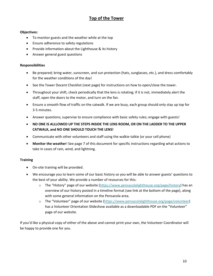### **Top of the Tower**

#### **Objectives:**

- To monitor guests and the weather while at the top
- Ensure adherence to safety regulations
- Provide information about the Lighthouse & its history
- Answer general guest questions

#### **Responsibilities**

- Be prepared; bring water, sunscreen, and sun protection (hats, sunglasses, etc.), and dress comfortably for the weather conditions of the day!
- See the Tower Docent Checklist (next page) for instructions on how to open/close the tower.
- Throughout your shift, check periodically that the lens is rotating; if it is not, immediately alert the staff, open the doors to the motor, and turn on the fan.
- Ensure a smooth flow of traffic on the catwalk. If we are busy, each group should only stay up top for 3-5 minutes.
- Answer questions; supervise to ensure compliance with basic safety rules; engage with guests!
- **NO ONE IS ALLLOWED UP THE STEPS INSIDE THE LENS ROOM, OR ON THE LADDER TO THE UPPER CATWALK, and NO ONE SHOULD TOUCH THE LENS!**
- Communicate with other volunteers and staff using the walkie-talkie (or your cell phone)
- **Monitor the weather**! See page 7 of this document for specific instructions regarding what actions to take in cases of rain, wind, and lightning.

#### **Training**

- On-site training will be provided.
- We encourage you to learn some of our basic history so you will be able to answer guests' questions to the best of your ability. We provide a number of resources for this:
	- o The "History" page of our website [\(https://www.pensacolalighthouse.org/page/history\)](https://www.pensacolalighthouse.org/page/history) has an overview of our history posted in a timeline format (see link at the bottom of the page), along with some general information on the Pensacola area.
	- o The "Volunteer" page of our website ([https://www.pensacolalighthouse.org/page/volunteer\)](https://www.pensacolalighthouse.org/page/volunteer) has a Volunteer Orientation Slideshow available as a downloadable PDF on the "Volunteer" page of our website.

If you'd like a physical copy of either of the above and cannot print your own, the Volunteer Coordinator will be happy to provide one for you.